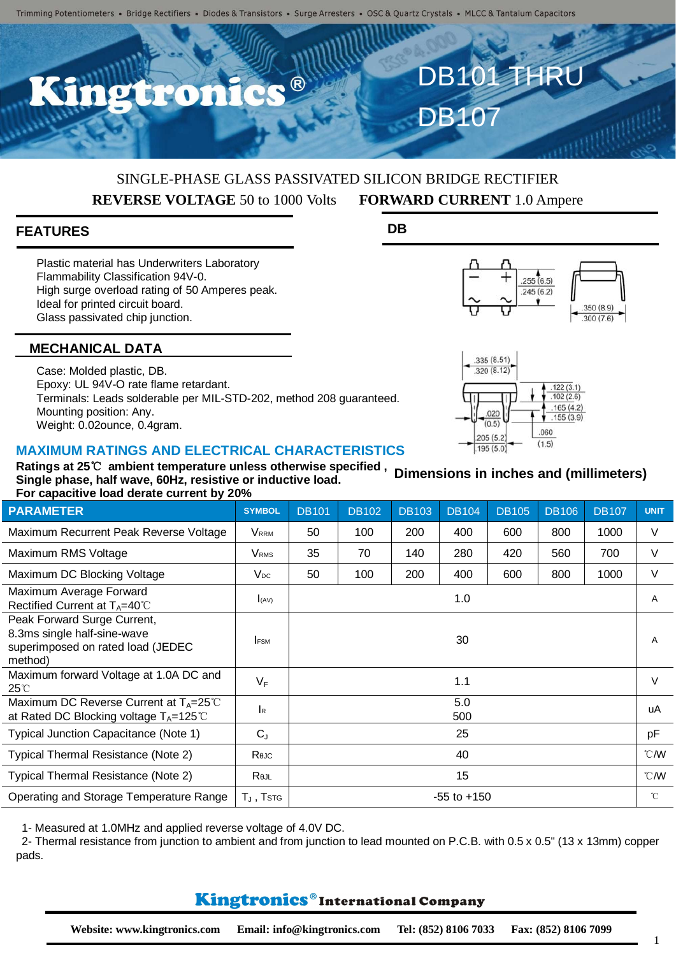

# SINGLE-PHASE GLASS PASSIVATED SILICON BRIDGE RECTIFIER **REVERSE VOLTAGE** 50 to 1000 Volts **FORWARD CURRENT** 1.0 Ampere

#### **FEATURES**

Plastic material has Underwriters Laboratory Flammability Classification 94V-0. High surge overload rating of 50 Amperes peak. Ideal for printed circuit board. Glass passivated chip junction.

#### **DB**



 $122(3.1)$  $.102(2.6)$  $165(4.2)$ 

 $.155(3.9)$ 

.060

 $(1.5)$ 

335 (8.51)  $.320(8.12)$ 

.020

 $(0.5)$ 

 $205(5.2)$ 

195 (5.0)



Case: Molded plastic, DB. Epoxy: UL 94V-O rate flame retardant. Terminals: Leads solderable per MIL-STD-202, method 208 guaranteed. Mounting position: Any. Weight: 0.02ounce, 0.4gram.

### **MAXIMUM RATINGS AND ELECTRICAL CHARACTERISTICS**



| <b>PARAMETER</b>                                                                                           | <b>SYMBOL</b>           | <b>DB101</b>    | <b>DB102</b> | <b>DB103</b> | <b>DB104</b> | <b>DB105</b> | <b>DB106</b> | <b>DB107</b> | <b>UNIT</b>    |
|------------------------------------------------------------------------------------------------------------|-------------------------|-----------------|--------------|--------------|--------------|--------------|--------------|--------------|----------------|
| Maximum Recurrent Peak Reverse Voltage                                                                     | <b>VRRM</b>             | 50              | 100          | 200          | 400          | 600          | 800          | 1000         | V              |
| Maximum RMS Voltage                                                                                        | <b>V</b> <sub>RMS</sub> | 35              | 70           | 140          | 280          | 420          | 560          | 700          | V              |
| Maximum DC Blocking Voltage                                                                                | $V_{DC}$                | 50              | 100          | 200          | 400          | 600          | 800          | 1000         | $\vee$         |
| Maximum Average Forward<br>Rectified Current at $T_A=40^{\circ}$ C                                         | I(AV)                   |                 |              |              | 1.0          |              |              |              | A              |
| Peak Forward Surge Current,<br>8.3ms single half-sine-wave<br>superimposed on rated load (JEDEC<br>method) | <b>FSM</b>              |                 |              |              | 30           |              |              |              | $\overline{A}$ |
| Maximum forward Voltage at 1.0A DC and<br>$25^{\circ}$                                                     | $V_F$                   | 1.1             |              |              |              |              |              |              | $\vee$         |
| Maximum DC Reverse Current at $T_A = 25^{\circ}$ C<br>at Rated DC Blocking voltage $T_A = 125^{\circ}C$    | $\mathsf{R}$            | 5.0<br>500      |              |              |              |              |              |              | uA             |
| Typical Junction Capacitance (Note 1)                                                                      | $C_{J}$                 | 25              |              |              |              |              |              |              | pF             |
| Typical Thermal Resistance (Note 2)                                                                        | Rejc                    | 40              |              |              |              |              |              |              | °CM            |
| Typical Thermal Resistance (Note 2)                                                                        | Rejl                    | 15              |              |              |              |              |              |              | $^{\circ}$ CMV |
| Operating and Storage Temperature Range                                                                    | $T_J$ , Tstg            | $-55$ to $+150$ |              |              |              |              |              |              | $^{\circ}$ C   |

1- Measured at 1.0MHz and applied reverse voltage of 4.0V DC.

2- Thermal resistance from junction to ambient and from junction to lead mounted on P.C.B. with 0.5 x 0.5" (13 x 13mm) copper pads.

### **Kingtronics**®International Company

1